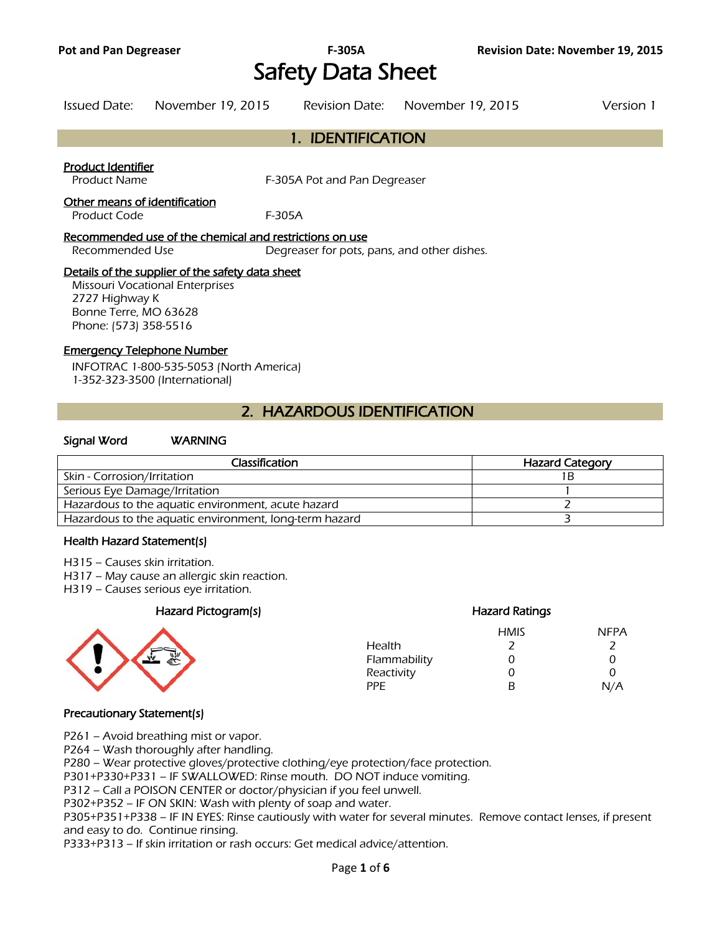# Safety Data Sheet

| Issued Date: | November 19, 2015 | Revision Date: November 19, 2015 | Version 1 |
|--------------|-------------------|----------------------------------|-----------|
|              |                   |                                  |           |

### 1. IDENTIFICATION

### Product Identifier

Product Name F-305A Pot and Pan Degreaser

#### Other means of identification

Product Code F-305A

#### Recommended use of the chemical and restrictions on use

Recommended Use Degreaser for pots, pans, and other dishes.

### Details of the supplier of the safety data sheet

Missouri Vocational Enterprises 2727 Highway K Bonne Terre, MO 63628 Phone: (573) 358-5516

#### Emergency Telephone Number

INFOTRAC 1-800-535-5053 (North America) 1-352-323-3500 (International)

### 2. HAZARDOUS IDENTIFICATION

### Signal Word WARNING

| Classification                                         | <b>Hazard Category</b> |
|--------------------------------------------------------|------------------------|
| Skin - Corrosion/Irritation                            |                        |
| Serious Eye Damage/Irritation                          |                        |
| Hazardous to the aquatic environment, acute hazard     |                        |
| Hazardous to the aquatic environment, long-term hazard |                        |
|                                                        |                        |

#### Health Hazard Statement(s)

- H315 Causes skin irritation.
- H317 May cause an allergic skin reaction.
- H319 Causes serious eye irritation.

### Hazard Pictogram(s) Hazard Ratings



| <b>HMIS</b> | <b>NFPA</b>   |
|-------------|---------------|
|             |               |
| O)          | $\mathcal{L}$ |
| 0           | ∩             |
| R           | N/A           |
|             |               |

### Precautionary Statement(s)

P261 – Avoid breathing mist or vapor.

P264 – Wash thoroughly after handling.

P280 – Wear protective gloves/protective clothing/eye protection/face protection.

P301+P330+P331 – IF SWALLOWED: Rinse mouth. DO NOT induce vomiting.

P312 – Call a POISON CENTER or doctor/physician if you feel unwell.

P302+P352 – IF ON SKIN: Wash with plenty of soap and water.

P305+P351+P338 – IF IN EYES: Rinse cautiously with water for several minutes. Remove contact lenses, if present and easy to do. Continue rinsing.

P333+P313 – If skin irritation or rash occurs: Get medical advice/attention.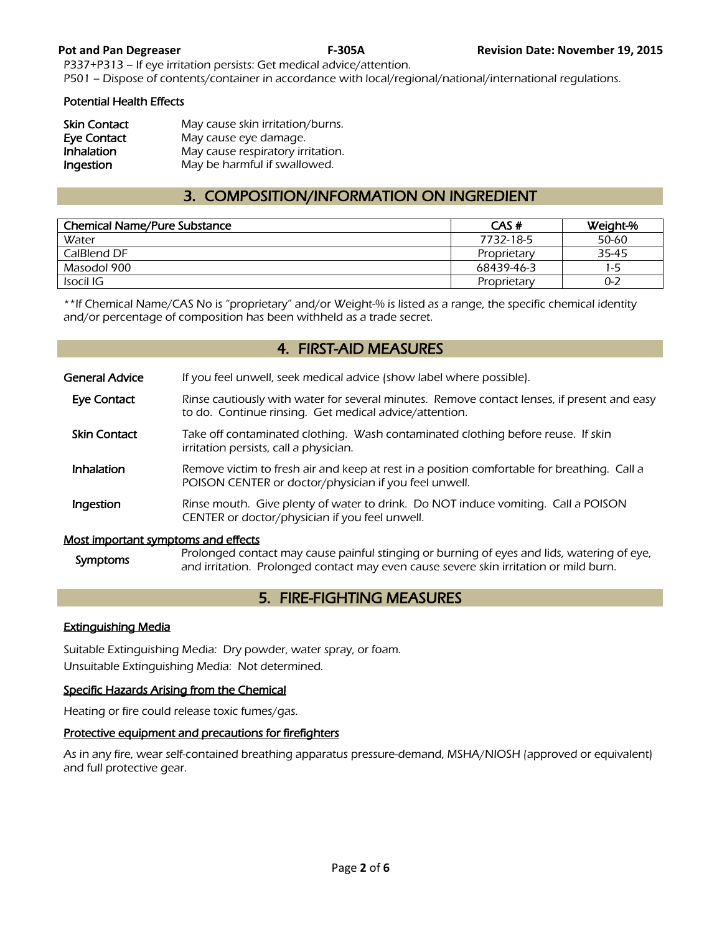P337+P313 – If eye irritation persists: Get medical advice/attention. P501 – Dispose of contents/container in accordance with local/regional/national/international regulations.

### Potential Health Effects

| <b>Skin Contact</b> | May cause skin irritation/burns.  |
|---------------------|-----------------------------------|
| <b>Eye Contact</b>  | May cause eye damage.             |
| Inhalation          | May cause respiratory irritation. |
| Ingestion           | May be harmful if swallowed.      |

### 3. COMPOSITION/INFORMATION ON INGREDIENT

| <b>Chemical Name/Pure Substance</b> | CAS#        | Weight-% |
|-------------------------------------|-------------|----------|
| Water                               | 7732-18-5   | 50-60    |
| CalBlend DF                         | Proprietary | 35-45    |
| Masodol 900                         | 68439-46-3  | 1-5      |
| Isocil IG                           | Proprietary | $0 - 2$  |
|                                     |             |          |

\*\*If Chemical Name/CAS No is "proprietary" and/or Weight-% is listed as a range, the specific chemical identity and/or percentage of composition has been withheld as a trade secret.

### 4. FIRST-AID MEASURES

| General Advice                             | If you feel unwell, seek medical advice (show label where possible).                                                                                                                |
|--------------------------------------------|-------------------------------------------------------------------------------------------------------------------------------------------------------------------------------------|
| <b>Eye Contact</b>                         | Rinse cautiously with water for several minutes. Remove contact lenses, if present and easy<br>to do. Continue rinsing. Get medical advice/attention.                               |
| <b>Skin Contact</b>                        | Take off contaminated clothing. Wash contaminated clothing before reuse. If skin<br>irritation persists, call a physician.                                                          |
| Inhalation                                 | Remove victim to fresh air and keep at rest in a position comfortable for breathing. Call a<br>POISON CENTER or doctor/physician if you feel unwell.                                |
| Ingestion                                  | Rinse mouth. Give plenty of water to drink. Do NOT induce vomiting. Call a POISON<br>CENTER or doctor/physician if you feel unwell.                                                 |
| <u>Most important symptoms and effects</u> |                                                                                                                                                                                     |
| <b>Symptoms</b>                            | Prolonged contact may cause painful stinging or burning of eyes and lids, watering of eye,<br>and irritation. Prolonged contact may even cause severe skin irritation or mild burn. |

## 5. FIRE-FIGHTING MEASURES

### Extinguishing Media

Suitable Extinguishing Media: Dry powder, water spray, or foam. Unsuitable Extinguishing Media: Not determined.

### Specific Hazards Arising from the Chemical

Heating or fire could release toxic fumes/gas.

### Protective equipment and precautions for firefighters

As in any fire, wear self-contained breathing apparatus pressure-demand, MSHA/NIOSH (approved or equivalent) and full protective gear.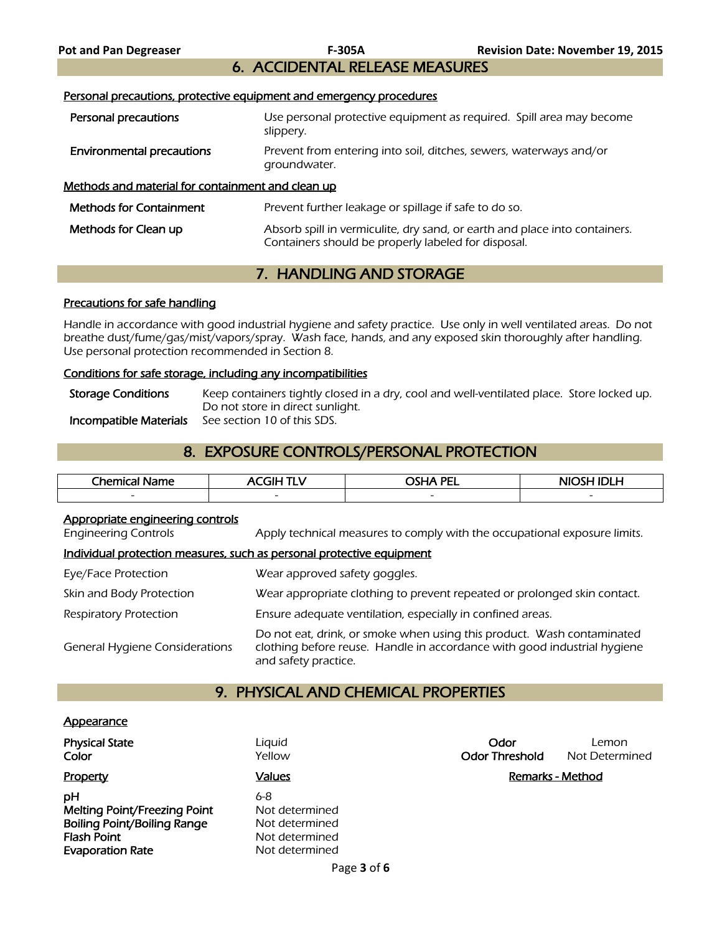## 6. ACCIDENTAL RELEASE MEASURES

Personal precautions, protective equipment and emergency procedures

| Personal precautions                              | Use personal protective equipment as required. Spill area may become<br>slippery.                                                 |
|---------------------------------------------------|-----------------------------------------------------------------------------------------------------------------------------------|
| <b>Environmental precautions</b>                  | Prevent from entering into soil, ditches, sewers, waterways and/or<br>groundwater.                                                |
| Methods and material for containment and clean up |                                                                                                                                   |
| <b>Methods for Containment</b>                    | Prevent further leakage or spillage if safe to do so.                                                                             |
| Methods for Clean up                              | Absorb spill in vermiculite, dry sand, or earth and place into containers.<br>Containers should be properly labeled for disposal. |

### 7. HANDLING AND STORAGE

### Precautions for safe handling

Handle in accordance with good industrial hygiene and safety practice. Use only in well ventilated areas. Do not breathe dust/fume/gas/mist/vapors/spray. Wash face, hands, and any exposed skin thoroughly after handling. Use personal protection recommended in Section 8.

### Conditions for safe storage, including any incompatibilities

| <b>Storage Conditions</b> | Keep containers tightly closed in a dry, cool and well-ventilated place. Store locked up. |
|---------------------------|-------------------------------------------------------------------------------------------|
|                           | Do not store in direct sunlight.                                                          |
| Incompatible Materials    | See section 10 of this SDS.                                                               |

## 8. EXPOSURE CONTROLS/PERSONAL PROTECTION

| Chemical<br>Name<br>л | . THE $\overline{\phantom{a}}$<br>-- | <b>OSHA PEI</b><br>---   | NIOSH IDI H              |
|-----------------------|--------------------------------------|--------------------------|--------------------------|
|                       | $\overline{\phantom{a}}$             | $\overline{\phantom{a}}$ | $\overline{\phantom{a}}$ |
|                       |                                      |                          |                          |

### Appropriate engineering controls

Engineering Controls Apply technical measures to comply with the occupational exposure limits.

### Individual protection measures, such as personal protective equipment

| Eye/Face Protection                   | Wear approved safety goggles.                                                                                                                                              |
|---------------------------------------|----------------------------------------------------------------------------------------------------------------------------------------------------------------------------|
| Skin and Body Protection              | Wear appropriate clothing to prevent repeated or prolonged skin contact.                                                                                                   |
| <b>Respiratory Protection</b>         | Ensure adequate ventilation, especially in confined areas.                                                                                                                 |
| <b>General Hygiene Considerations</b> | Do not eat, drink, or smoke when using this product. Wash contaminated<br>clothing before reuse. Handle in accordance with good industrial hygiene<br>and safety practice. |

### 9. PHYSICAL AND CHEMICAL PROPERTIES

#### **Appearance**

| <b>Physical State</b><br>Color                                                                                            | Liquid<br>Yellow                                                            | Odor<br><b>Odor Threshold</b> | Lemon<br>Not Determined |
|---------------------------------------------------------------------------------------------------------------------------|-----------------------------------------------------------------------------|-------------------------------|-------------------------|
| Property                                                                                                                  | <b>Values</b>                                                               |                               | Remarks - Method        |
| pН<br><b>Melting Point/Freezing Point</b><br><b>Boiling Point/Boiling Range</b><br>Flash Point<br><b>Evaporation Rate</b> | 6-8<br>Not determined<br>Not determined<br>Not determined<br>Not determined |                               |                         |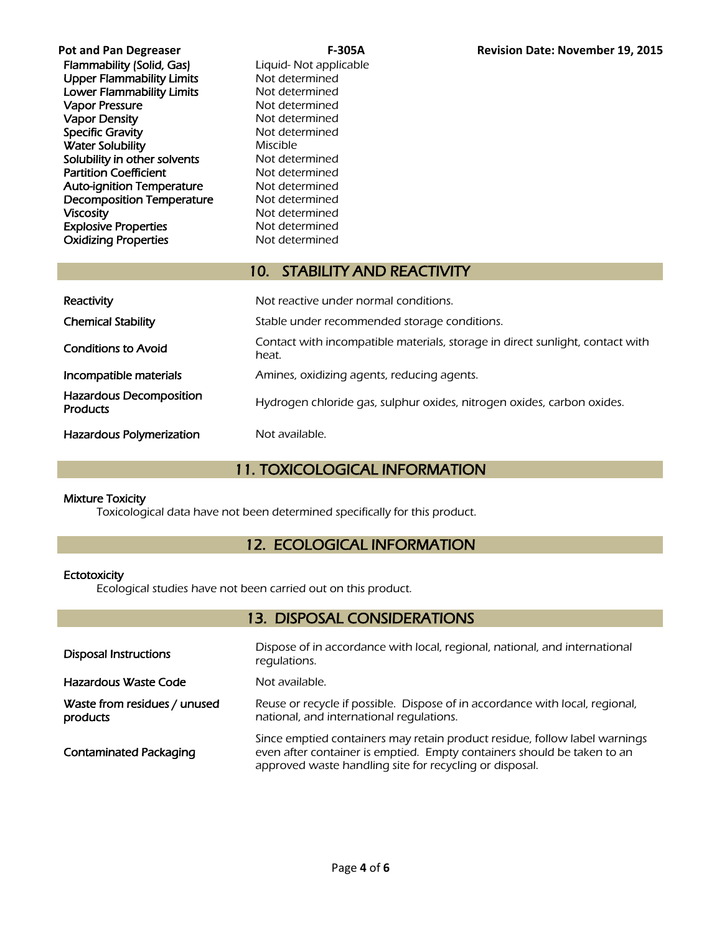| <b>Pot and Pan Degreaser</b>     |          |
|----------------------------------|----------|
| Flammability (Solid, Gas)        | Liguid-  |
| <b>Upper Flammability Limits</b> | Not det  |
| <b>Lower Flammability Limits</b> | Not det  |
| <b>Vapor Pressure</b>            | Not det  |
| <b>Vapor Density</b>             | Not det  |
| <b>Specific Gravity</b>          | Not det  |
| <b>Water Solubility</b>          | Miscible |
| Solubility in other solvents     | Not det  |
| <b>Partition Coefficient</b>     | Not det  |
| <b>Auto-ignition Temperature</b> | Not det  |
| Decomposition Temperature        | Not det  |
| <b>Viscosity</b>                 | Not det  |
| <b>Explosive Properties</b>      | Not det  |
| <b>Oxidizing Properties</b>      | Not det  |
|                                  |          |

Not applicable termined termined termined termined termined termined termined termined termined termined termined termined

### 10. STABILITY AND REACTIVITY

| Reactivity                                        | Not reactive under normal conditions.                                                  |  |  |  |
|---------------------------------------------------|----------------------------------------------------------------------------------------|--|--|--|
| <b>Chemical Stability</b>                         | Stable under recommended storage conditions.                                           |  |  |  |
| <b>Conditions to Avoid</b>                        | Contact with incompatible materials, storage in direct sunlight, contact with<br>heat. |  |  |  |
| Incompatible materials                            | Amines, oxidizing agents, reducing agents.                                             |  |  |  |
| <b>Hazardous Decomposition</b><br><b>Products</b> | Hydrogen chloride gas, sulphur oxides, nitrogen oxides, carbon oxides.                 |  |  |  |
| <b>Hazardous Polymerization</b>                   | Not available.                                                                         |  |  |  |

### 11. TOXICOLOGICAL INFORMATION

### Mixture Toxicity

Toxicological data have not been determined specifically for this product.

### 12. ECOLOGICAL INFORMATION

### **Ectotoxicity**

Ecological studies have not been carried out on this product.

### 13. DISPOSAL CONSIDERATIONS

| <b>Disposal Instructions</b>             | Dispose of in accordance with local, regional, national, and international<br>regulations.                                                                                                                       |
|------------------------------------------|------------------------------------------------------------------------------------------------------------------------------------------------------------------------------------------------------------------|
| Hazardous Waste Code                     | Not available.                                                                                                                                                                                                   |
| Waste from residues / unused<br>products | Reuse or recycle if possible. Dispose of in accordance with local, regional,<br>national, and international regulations.                                                                                         |
| <b>Contaminated Packaging</b>            | Since emptied containers may retain product residue, follow label warnings<br>even after container is emptied. Empty containers should be taken to an<br>approved waste handling site for recycling or disposal. |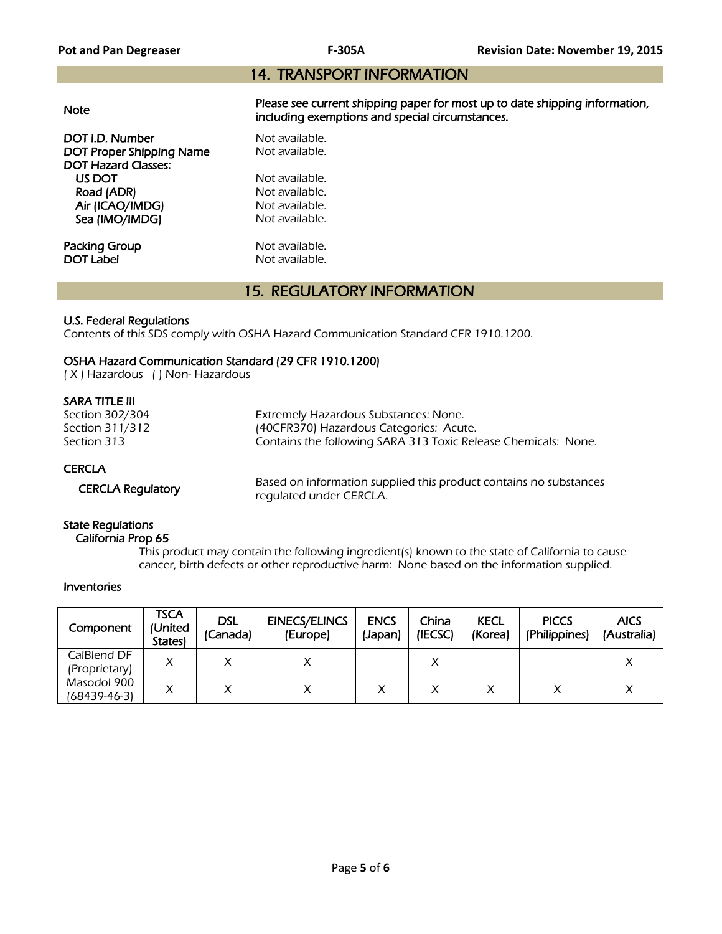### 14. TRANSPORT INFORMATION

|--|

Please see current shipping paper for most up to date shipping information, including exemptions and special circumstances.

**DOT I.D. Number Not available.**<br> **DOT Proper Shipping Name** Not available. DOT Proper Shipping Name DOT Hazard Classes: US DOT Not available.<br>
Road (ADR) Not available. Road (ADR) Air (ICAO/IMDG) Not available. Sea (IMO/IMDG) Not available.

**Packing Group Not available.**<br> **DOT Label Not available.** 

Not available.

### 15. REGULATORY INFORMATION

### U.S. Federal Regulations

Contents of this SDS comply with OSHA Hazard Communication Standard CFR 1910.1200.

### OSHA Hazard Communication Standard (29 CFR 1910.1200)

( X ) Hazardous ( ) Non- Hazardous

### SARA TITLE III

| Section 302/304<br>Section 311/312<br>Section 313 | Extremely Hazardous Substances: None.<br>(40CFR370) Hazardous Categories: Acute.<br>Contains the following SARA 313 Toxic Release Chemicals: None. |
|---------------------------------------------------|----------------------------------------------------------------------------------------------------------------------------------------------------|
| <b>CERCLA</b>                                     | Based on information supplied this product contains no substances                                                                                  |
| <b>CERCLA Requlatory</b>                          | requiated under CERCLA.                                                                                                                            |

### State Regulations

### California Prop 65

 This product may contain the following ingredient(s) known to the state of California to cause cancer, birth defects or other reproductive harm: None based on the information supplied.

#### Inventories

| Component                    | <b>TSCA</b><br>(United<br><b>States</b> | <b>DSL</b><br>(Canada) | <b>EINECS/ELINCS</b><br>(Europe) | <b>ENCS</b><br>(Japan) | China<br>(IECSC) | <b>KECL</b><br>(Korea) | <b>PICCS</b><br>(Philippines) | <b>AICS</b><br>(Australia) |
|------------------------------|-----------------------------------------|------------------------|----------------------------------|------------------------|------------------|------------------------|-------------------------------|----------------------------|
| CalBlend DF<br>(Proprietary) |                                         |                        |                                  |                        | v<br>↗           |                        |                               |                            |
| Masodol 900<br>(68439-46-3)  |                                         |                        |                                  |                        |                  |                        |                               |                            |